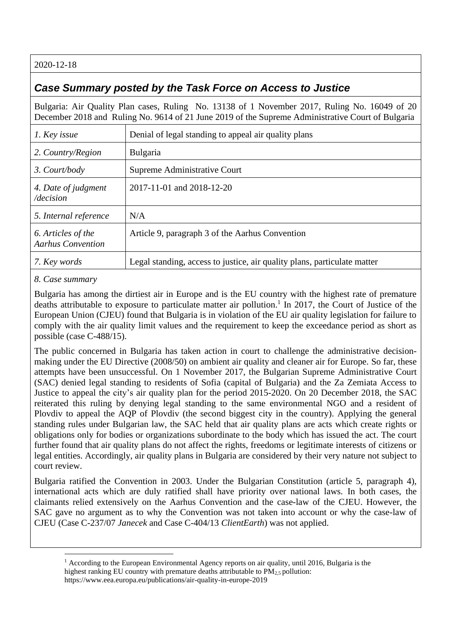2020-12-18

## *Case Summary posted by the Task Force on Access to Justice*

Bulgaria: Air Quality Plan cases, Ruling No. 13138 of 1 November 2017, Ruling No. 16049 of 20 December 2018 and Ruling No. 9614 of 21 June 2019 of the Supreme Administrative Court of Bulgaria

| 1. Key issue                                   | Denial of legal standing to appeal air quality plans                     |
|------------------------------------------------|--------------------------------------------------------------------------|
| 2. Country/Region                              | <b>Bulgaria</b>                                                          |
| 3. Court/body                                  | Supreme Administrative Court                                             |
| 4. Date of judgment<br>/decision               | 2017-11-01 and 2018-12-20                                                |
| 5. Internal reference                          | N/A                                                                      |
| 6. Articles of the<br><b>Aarhus Convention</b> | Article 9, paragraph 3 of the Aarhus Convention                          |
| 7. Key words                                   | Legal standing, access to justice, air quality plans, particulate matter |

## *8. Case summary*

Bulgaria has among the dirtiest air in Europe and is the EU country with the highest rate of premature deaths attributable to exposure to particulate matter air pollution. 1 In 2017, the Court of Justice of the European Union (CJEU) found that Bulgaria is in violation of the EU air quality legislation for failure to comply with the air quality limit values and the requirement to keep the exceedance period as short as possible (case C-488/15).

The public concerned in Bulgaria has taken action in court to challenge the administrative decisionmaking under the EU Directive (2008/50) on ambient air quality and cleaner air for Europe. So far, these attempts have been unsuccessful. On 1 November 2017, the Bulgarian Supreme Administrative Court (SAC) denied legal standing to residents of Sofia (capital of Bulgaria) and the Za Zemiata Access to Justice to appeal the city's air quality plan for the period 2015-2020. On 20 December 2018, the SAC reiterated this ruling by denying legal standing to the same environmental NGO and a resident of Plovdiv to appeal the AQP of Plovdiv (the second biggest city in the country). Applying the general standing rules under Bulgarian law, the SAC held that air quality plans are acts which create rights or obligations only for bodies or organizations subordinate to the body which has issued the act. The court further found that air quality plans do not affect the rights, freedoms or legitimate interests of citizens or legal entities. Accordingly, air quality plans in Bulgaria are considered by their very nature not subject to court review.

Bulgaria ratified the Convention in 2003. Under the Bulgarian Constitution (article 5, paragraph 4), international acts which are duly ratified shall have priority over national laws. In both cases, the claimants relied extensively on the Aarhus Convention and the case-law of the CJEU. However, the SAC gave no argument as to why the Convention was not taken into account or why the case-law of CJEU (Case C-237/07 *Janecek* and Case C-404/13 *ClientEarth*) was not applied.

<sup>&</sup>lt;sup>1</sup> According to the European Environmental Agency reports on air quality, until 2016, Bulgaria is the highest ranking EU country with premature deaths attributable to  $PM_{2.5}$  pollution: https://www.eea.europa.eu/publications/air-quality-in-europe-2019